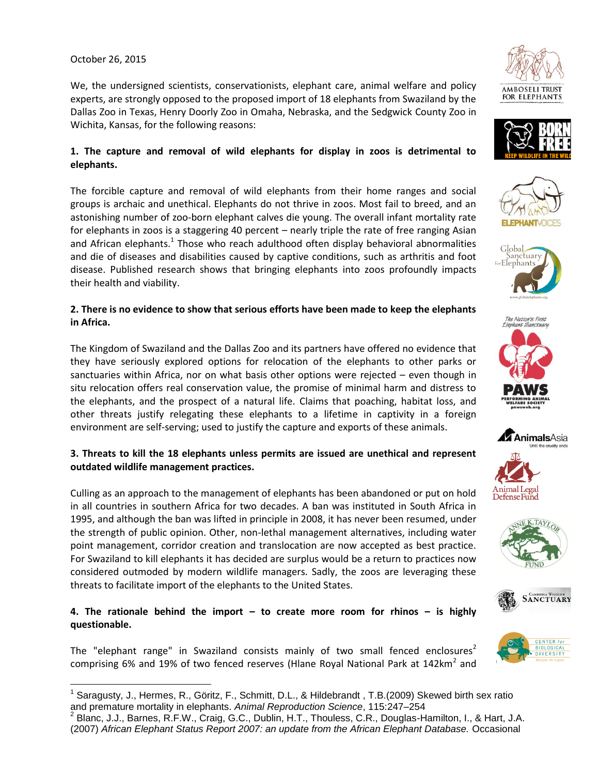#### October 26, 2015

We, the undersigned scientists, conservationists, elephant care, animal welfare and policy experts, are strongly opposed to the proposed import of 18 elephants from Swaziland by the Dallas Zoo in Texas, Henry Doorly Zoo in Omaha, Nebraska, and the Sedgwick County Zoo in Wichita, Kansas, for the following reasons:

## **1. The capture and removal of wild elephants for display in zoos is detrimental to elephants.**

The forcible capture and removal of wild elephants from their home ranges and social groups is archaic and unethical. Elephants do not thrive in zoos. Most fail to breed, and an astonishing number of zoo-born elephant calves die young. The overall infant mortality rate for elephants in zoos is a staggering 40 percent – nearly triple the rate of free ranging Asian and African elephants. $^1$  Those who reach adulthood often display behavioral abnormalities and die of diseases and disabilities caused by captive conditions, such as arthritis and foot disease. Published research shows that bringing elephants into zoos profoundly impacts their health and viability.

## **2. There is no evidence to show that serious efforts have been made to keep the elephants in Africa.**

The Kingdom of Swaziland and the Dallas Zoo and its partners have offered no evidence that they have seriously explored options for relocation of the elephants to other parks or sanctuaries within Africa, nor on what basis other options were rejected – even though in situ relocation offers real conservation value, the promise of minimal harm and distress to the elephants, and the prospect of a natural life. Claims that poaching, habitat loss, and other threats justify relegating these elephants to a lifetime in captivity in a foreign environment are self-serving; used to justify the capture and exports of these animals.

#### **3. Threats to kill the 18 elephants unless permits are issued are unethical and represent outdated wildlife management practices.**

Culling as an approach to the management of elephants has been abandoned or put on hold in all countries in southern Africa for two decades. A ban was instituted in South Africa in 1995, and although the ban was lifted in principle in 2008, it has never been resumed, under the strength of public opinion. Other, non-lethal management alternatives, including water point management, corridor creation and translocation are now accepted as best practice. For Swaziland to kill elephants it has decided are surplus would be a return to practices now considered outmoded by modern wildlife managers. Sadly, the zoos are leveraging these threats to facilitate import of the elephants to the United States.

# **4. The rationale behind the import – to create more room for rhinos – is highly questionable.**

The "elephant range" in Swaziland consists mainly of two small fenced enclosures<sup>2</sup> comprising 6% and 19% of two fenced reserves (Hlane Royal National Park at 142km<sup>2</sup> and





















 $\overline{a}$ <sup>1</sup> Saragusty, J., Hermes, R., Göritz, F., Schmitt, D.L., & Hildebrandt, T.B.(2009) Skewed birth sex ratio and premature mortality in elephants. *Animal Reproduction Science*, 115:247–254

<sup>&</sup>lt;sup>2</sup> Blanc, J.J., Barnes, R.F.W., Craig, G.C., Dublin, H.T., Thouless, C.R., Douglas-Hamilton, I., & Hart, J.A. (2007) *African Elephant Status Report 2007: an update from the African Elephant Database.* Occasional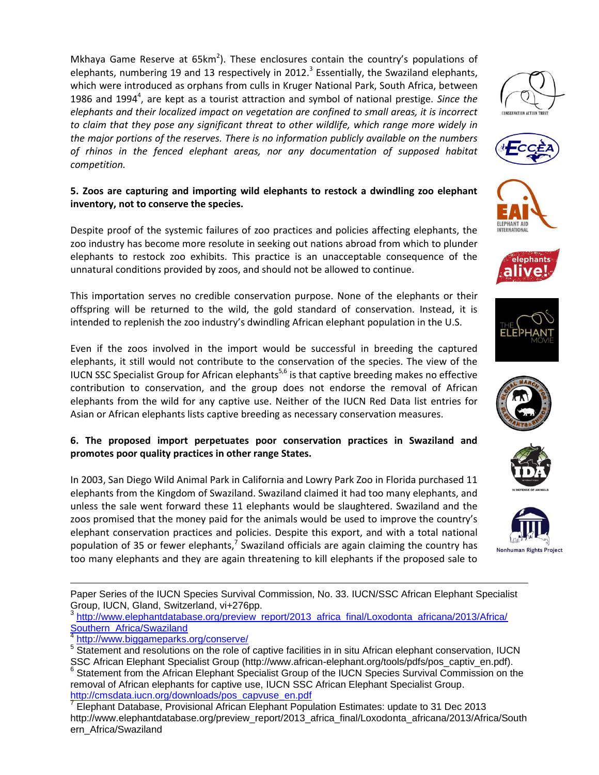Mkhaya Game Reserve at 65km<sup>2</sup>). These enclosures contain the country's populations of elephants, numbering 19 and 13 respectively in 2012.<sup>3</sup> Essentially, the Swaziland elephants, which were introduced as orphans from culls in Kruger National Park, South Africa, between 1986 and 1994<sup>4</sup>, are kept as a tourist attraction and symbol of national prestige. Since the *elephants and their localized impact on vegetation are confined to small areas, it is incorrect to claim that they pose any significant threat to other wildlife, which range more widely in the major portions of the reserves. There is no information publicly available on the numbers of rhinos in the fenced elephant areas, nor any documentation of supposed habitat competition.*

## **5. Zoos are capturing and importing wild elephants to restock a dwindling zoo elephant inventory, not to conserve the species.**

Despite proof of the systemic failures of zoo practices and policies affecting elephants, the zoo industry has become more resolute in seeking out nations abroad from which to plunder elephants to restock zoo exhibits. This practice is an unacceptable consequence of the unnatural conditions provided by zoos, and should not be allowed to continue.

This importation serves no credible conservation purpose. None of the elephants or their offspring will be returned to the wild, the gold standard of conservation. Instead, it is intended to replenish the zoo industry's dwindling African elephant population in the U.S.

Even if the zoos involved in the import would be successful in breeding the captured elephants, it still would not contribute to the conservation of the species. The view of the IUCN SSC Specialist Group for African elephants<sup>5,6</sup> is that captive breeding makes no effective contribution to conservation, and the group does not endorse the removal of African elephants from the wild for any captive use. Neither of the IUCN Red Data list entries for Asian or African elephants lists captive breeding as necessary conservation measures.

## **6. The proposed import perpetuates poor conservation practices in Swaziland and promotes poor quality practices in other range States.**

In 2003, San Diego Wild Animal Park in California and Lowry Park Zoo in Florida purchased 11 elephants from the Kingdom of Swaziland. Swaziland claimed it had too many elephants, and unless the sale went forward these 11 elephants would be slaughtered. Swaziland and the zoos promised that the money paid for the animals would be used to improve the country's elephant conservation practices and policies. Despite this export, and with a total national population of 35 or fewer elephants,<sup>7</sup> Swaziland officials are again claiming the country has too many elephants and they are again threatening to kill elephants if the proposed sale to





Nonhuman Rights Project

Paper Series of the IUCN Species Survival Commission, No. 33. IUCN/SSC African Elephant Specialist Group, IUCN, Gland, Switzerland, vi+276pp.<br><sup>3</sup> http://www.elephontdatabase.org/proview.

[http://www.elephantdatabase.org/preview\\_report/2013\\_africa\\_final/Loxodonta\\_africana/2013/Africa/](http://www.elephantdatabase.org/preview_report/2013_africa_final/Loxodonta_africana/2013/Africa/Southern_Africa/Swaziland) [Southern\\_Africa/Swaziland](http://www.elephantdatabase.org/preview_report/2013_africa_final/Loxodonta_africana/2013/Africa/Southern_Africa/Swaziland)

4 <http://www.biggameparks.org/conserve/>

 $\overline{a}$ 









**lephants** 

<sup>&</sup>lt;sup>5</sup> Statement and resolutions on the role of captive facilities in in situ African elephant conservation, IUCN SSC African Elephant Specialist Group (http://www.african-elephant.org/tools/pdfs/pos\_captiv\_en.pdf).

<sup>&</sup>lt;sup>6</sup> Statement from the African Elephant Specialist Group of the IUCN Species Survival Commission on the removal of African elephants for captive use, IUCN SSC African Elephant Specialist Group. [http://cmsdata.iucn.org/downloads/pos\\_capvuse\\_en.pdf](http://cmsdata.iucn.org/downloads/pos_capvuse_en.pdf)

 $^7$  Elephant Database, Provisional African Elephant Population Estimates: update to 31 Dec 2013 http://www.elephantdatabase.org/preview\_report/2013\_africa\_final/Loxodonta\_africana/2013/Africa/South ern\_Africa/Swaziland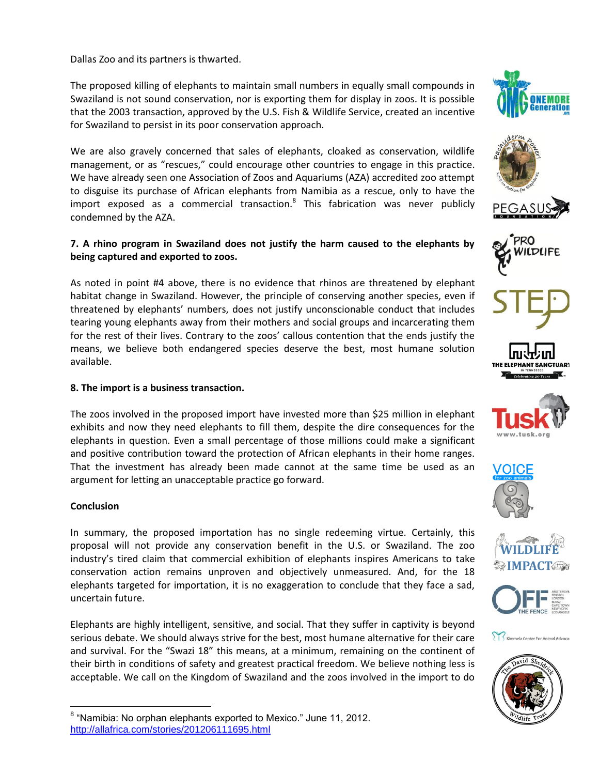Dallas Zoo and its partners is thwarted.

The proposed killing of elephants to maintain small numbers in equally small compounds in Swaziland is not sound conservation, nor is exporting them for display in zoos. It is possible that the 2003 transaction, approved by the U.S. Fish & Wildlife Service, created an incentive for Swaziland to persist in its poor conservation approach.

We are also gravely concerned that sales of elephants, cloaked as conservation, wildlife management, or as "rescues," could encourage other countries to engage in this practice. We have already seen one Association of Zoos and Aquariums (AZA) accredited zoo attempt to disguise its purchase of African elephants from Namibia as a rescue, only to have the import exposed as a commercial transaction.<sup>8</sup> This fabrication was never publicly condemned by the AZA.

## **7. A rhino program in Swaziland does not justify the harm caused to the elephants by being captured and exported to zoos.**

As noted in point #4 above, there is no evidence that rhinos are threatened by elephant habitat change in Swaziland. However, the principle of conserving another species, even if threatened by elephants' numbers, does not justify unconscionable conduct that includes tearing young elephants away from their mothers and social groups and incarcerating them for the rest of their lives. Contrary to the zoos' callous contention that the ends justify the means, we believe both endangered species deserve the best, most humane solution available.

#### **8. The import is a business transaction.**

The zoos involved in the proposed import have invested more than \$25 million in elephant exhibits and now they need elephants to fill them, despite the dire consequences for the elephants in question. Even a small percentage of those millions could make a significant and positive contribution toward the protection of African elephants in their home ranges. That the investment has already been made cannot at the same time be used as an argument for letting an unacceptable practice go forward.

#### **Conclusion**

 $\overline{a}$ 

In summary, the proposed importation has no single redeeming virtue. Certainly, this proposal will not provide any conservation benefit in the U.S. or Swaziland. The zoo industry's tired claim that commercial exhibition of elephants inspires Americans to take conservation action remains unproven and objectively unmeasured. And, for the 18 elephants targeted for importation, it is no exaggeration to conclude that they face a sad, uncertain future.

Elephants are highly intelligent, sensitive, and social. That they suffer in captivity is beyond serious debate. We should always strive for the best, most humane alternative for their care and survival. For the "Swazi 18" this means, at a minimum, remaining on the continent of their birth in conditions of safety and greatest practical freedom. We believe nothing less is acceptable. We call on the Kingdom of Swaziland and the zoos involved in the import to do























<sup>&</sup>lt;sup>8</sup> "Namibia: No orphan elephants exported to Mexico." June 11, 2012. <http://allafrica.com/stories/201206111695.html>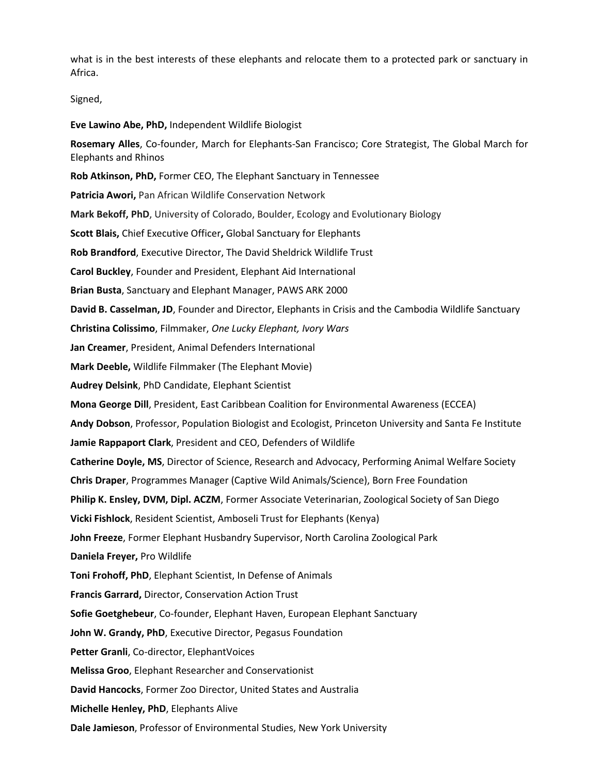what is in the best interests of these elephants and relocate them to a protected park or sanctuary in Africa.

Signed,

**Eve Lawino Abe, PhD,** Independent Wildlife Biologist

**Rosemary Alles**, Co-founder, March for Elephants-San Francisco; Core Strategist, The Global March for Elephants and Rhinos

**Rob Atkinson, PhD,** Former CEO, The Elephant Sanctuary in Tennessee

**Patricia Awori,** Pan African Wildlife Conservation Network

**Mark Bekoff, PhD**, University of Colorado, Boulder, Ecology and Evolutionary Biology

**Scott Blais,** Chief Executive Officer**,** Global Sanctuary for Elephants

**Rob Brandford**, Executive Director, The David Sheldrick Wildlife Trust

**Carol Buckley**, Founder and President, Elephant Aid International

**Brian Busta**, Sanctuary and Elephant Manager, PAWS ARK 2000

**David B. Casselman, JD**, Founder and Director, Elephants in Crisis and the Cambodia Wildlife Sanctuary

**Christina Colissimo**, Filmmaker, *One Lucky Elephant, Ivory Wars*

**Jan Creamer**, President, Animal Defenders International

**Mark Deeble,** Wildlife Filmmaker (The Elephant Movie)

**Audrey Delsink**, PhD Candidate, Elephant Scientist

**Mona George Dill**, President, East Caribbean Coalition for Environmental Awareness (ECCEA)

**Andy Dobson**, Professor, Population Biologist and Ecologist, Princeton University and Santa Fe Institute

**Jamie Rappaport Clark**, President and CEO, Defenders of Wildlife

**Catherine Doyle, MS**, Director of Science, Research and Advocacy, Performing Animal Welfare Society

**Chris Draper**, Programmes Manager (Captive Wild Animals/Science), Born Free Foundation

**Philip K. Ensley, DVM, Dipl. ACZM**, Former Associate Veterinarian, Zoological Society of San Diego

**Vicki Fishlock**, Resident Scientist, Amboseli Trust for Elephants (Kenya)

**John Freeze**, Former Elephant Husbandry Supervisor, North Carolina Zoological Park

**Daniela Freyer,** Pro Wildlife

**Toni Frohoff, PhD**, Elephant Scientist, In Defense of Animals

**Francis Garrard,** Director, Conservation Action Trust

**Sofie Goetghebeur**, Co-founder, Elephant Haven, European Elephant Sanctuary

**John W. Grandy, PhD**, Executive Director, Pegasus Foundation

**Petter Granli**, Co-director, ElephantVoices

**Melissa Groo**, Elephant Researcher and Conservationist

**David Hancocks**, Former Zoo Director, United States and Australia

**Michelle Henley, PhD**, Elephants Alive

**Dale Jamieson**, Professor of Environmental Studies, New York University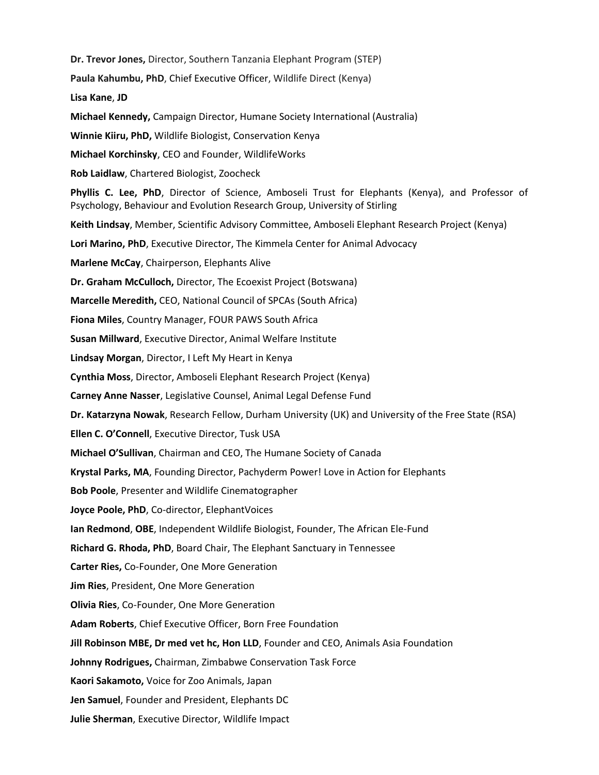**Dr. Trevor Jones,** Director, Southern Tanzania Elephant Program (STEP) **Paula Kahumbu, PhD**, Chief Executive Officer, Wildlife Direct (Kenya) **Lisa Kane**, **JD Michael Kennedy,** Campaign Director, Humane Society International (Australia) **Winnie Kiiru, PhD,** Wildlife Biologist, Conservation Kenya **Michael Korchinsky**, CEO and Founder, WildlifeWorks **Rob Laidlaw**, Chartered Biologist, Zoocheck **Phyllis C. Lee, PhD**, Director of Science, Amboseli Trust for Elephants (Kenya), and Professor of Psychology, Behaviour and Evolution Research Group, University of Stirling **Keith Lindsay**, Member, Scientific Advisory Committee, Amboseli Elephant Research Project (Kenya) **Lori Marino, PhD**, Executive Director, The Kimmela Center for Animal Advocacy **Marlene McCay**, Chairperson, Elephants Alive **Dr. Graham McCulloch,** Director, The Ecoexist Project (Botswana) **Marcelle Meredith,** CEO, National Council of SPCAs (South Africa) **Fiona Miles**, Country Manager, FOUR PAWS South Africa **Susan Millward**, Executive Director, Animal Welfare Institute **Lindsay Morgan**, Director, I Left My Heart in Kenya **Cynthia Moss**, Director, Amboseli Elephant Research Project (Kenya) **Carney Anne Nasser**, Legislative Counsel, Animal Legal Defense Fund **Dr. Katarzyna Nowak**, Research Fellow, Durham University (UK) and University of the Free State (RSA) **Ellen C. O'Connell**, Executive Director, Tusk USA **Michael O'Sullivan**, Chairman and CEO, The Humane Society of Canada **Krystal Parks, MA**, Founding Director, Pachyderm Power! Love in Action for Elephants **Bob Poole**, Presenter and Wildlife Cinematographer **Joyce Poole, PhD**, Co-director, ElephantVoices **Ian Redmond**, **OBE**, Independent Wildlife Biologist, Founder, The African Ele-Fund **Richard G. Rhoda, PhD**, Board Chair, The Elephant Sanctuary in Tennessee **Carter Ries,** Co-Founder, One More Generation **Jim Ries**, President, One More Generation **Olivia Ries**, Co-Founder, One More Generation **Adam Roberts**, Chief Executive Officer, Born Free Foundation **Jill Robinson MBE, Dr med vet hc, Hon LLD**, Founder and CEO, Animals Asia Foundation **Johnny Rodrigues,** Chairman, Zimbabwe Conservation Task Force **Kaori Sakamoto,** Voice for Zoo Animals, Japan **Jen Samuel**, Founder and President, Elephants DC **Julie Sherman**, Executive Director, Wildlife Impact